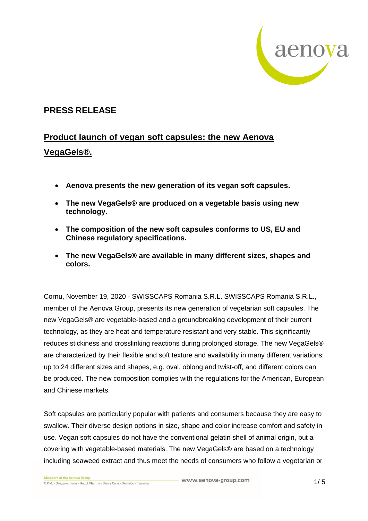

## **PRESS RELEASE**

# **Product launch of vegan soft capsules: the new Aenova VegaGels®.**

- **Aenova presents the new generation of its vegan soft capsules.**
- **The new VegaGels® are produced on a vegetable basis using new technology.**
- **The composition of the new soft capsules conforms to US, EU and Chinese regulatory specifications.**
- **The new VegaGels® are available in many different sizes, shapes and colors.**

Cornu, November 19, 2020 - SWISSCAPS Romania S.R.L. SWISSCAPS Romania S.R.L., member of the Aenova Group, presents its new generation of vegetarian soft capsules. The new VegaGels® are vegetable-based and a groundbreaking development of their current technology, as they are heat and temperature resistant and very stable. This significantly reduces stickiness and crosslinking reactions during prolonged storage. The new VegaGels® are characterized by their flexible and soft texture and availability in many different variations: up to 24 different sizes and shapes, e.g. oval, oblong and twist-off, and different colors can be produced. The new composition complies with the regulations for the American, European and Chinese markets.

Soft capsules are particularly popular with patients and consumers because they are easy to swallow. Their diverse design options in size, shape and color increase comfort and safety in use. Vegan soft capsules do not have the conventional gelatin shell of animal origin, but a covering with vegetable-based materials. The new VegaGels® are based on a technology including seaweed extract and thus meet the needs of consumers who follow a vegetarian or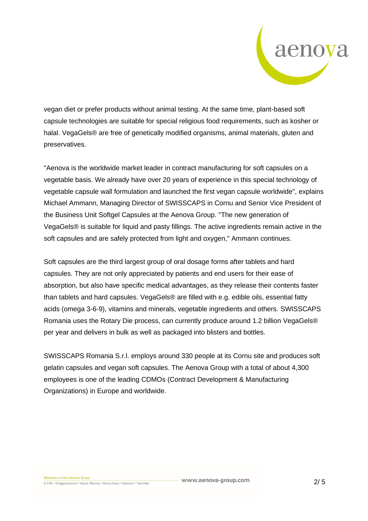

vegan diet or prefer products without animal testing. At the same time, plant-based soft capsule technologies are suitable for special religious food requirements, such as kosher or halal. VegaGels® are free of genetically modified organisms, animal materials, gluten and preservatives.

"Aenova is the worldwide market leader in contract manufacturing for soft capsules on a vegetable basis. We already have over 20 years of experience in this special technology of vegetable capsule wall formulation and launched the first vegan capsule worldwide", explains Michael Ammann, Managing Director of SWISSCAPS in Cornu and Senior Vice President of the Business Unit Softgel Capsules at the Aenova Group. "The new generation of VegaGels® is suitable for liquid and pasty fillings. The active ingredients remain active in the soft capsules and are safely protected from light and oxygen," Ammann continues.

Soft capsules are the third largest group of oral dosage forms after tablets and hard capsules. They are not only appreciated by patients and end users for their ease of absorption, but also have specific medical advantages, as they release their contents faster than tablets and hard capsules. VegaGels® are filled with e.g. edible oils, essential fatty acids (omega 3-6-9), vitamins and minerals, vegetable ingredients and others. SWISSCAPS Romania uses the Rotary Die process, can currently produce around 1.2 billion VegaGels® per year and delivers in bulk as well as packaged into blisters and bottles.

SWISSCAPS Romania S.r.l. employs around 330 people at its Cornu site and produces soft gelatin capsules and vegan soft capsules. The Aenova Group with a total of about 4,300 employees is one of the leading CDMOs (Contract Development & Manufacturing Organizations) in Europe and worldwide.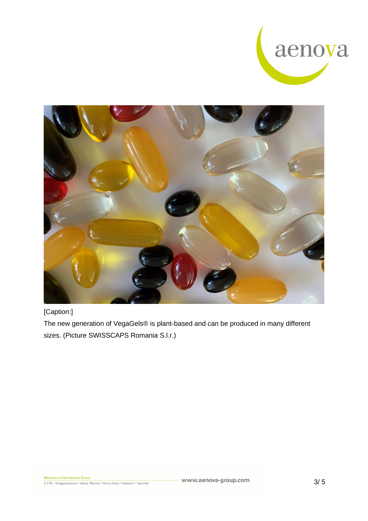



[Caption:]

The new generation of VegaGels® is plant-based and can be produced in many different sizes. (Picture SWISSCAPS Romania S.l.r.)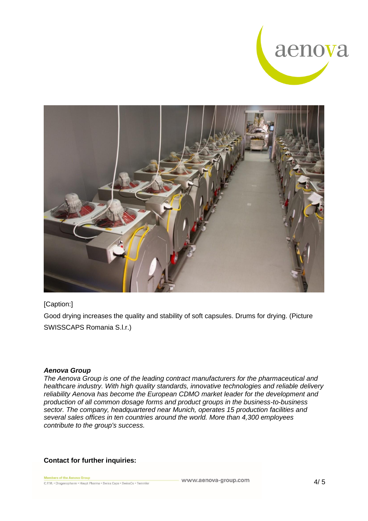



### [Caption:]

Good drying increases the quality and stability of soft capsules. Drums for drying. (Picture SWISSCAPS Romania S.l.r.)

#### *Aenova Group*

*The Aenova Group is one of the leading contract manufacturers for the pharmaceutical and healthcare industry. With high quality standards, innovative technologies and reliable delivery reliability Aenova has become the European CDMO market leader for the development and production of all common dosage forms and product groups in the business-to-business sector. The company, headquartered near Munich, operates 15 production facilities and several sales offices in ten countries around the world. More than 4,300 employees contribute to the group's success.*

### **Contact for further inquiries:**